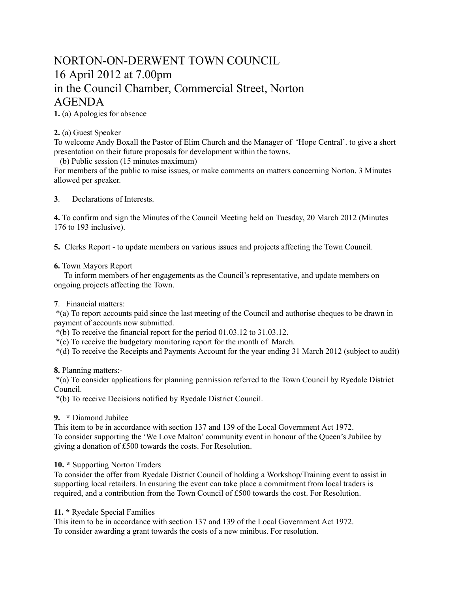# NORTON-ON-DERWENT TOWN COUNCIL 16 April 2012 at 7.00pm in the Council Chamber, Commercial Street, Norton AGENDA

**1.** (a) Apologies for absence

### **2.** (a) Guest Speaker

To welcome Andy Boxall the Pastor of Elim Church and the Manager of 'Hope Central'. to give a short presentation on their future proposals for development within the towns.

(b) Public session (15 minutes maximum)

For members of the public to raise issues, or make comments on matters concerning Norton. 3 Minutes allowed per speaker.

**3**. Declarations of Interests.

**4.** To confirm and sign the Minutes of the Council Meeting held on Tuesday, 20 March 2012 (Minutes 176 to 193 inclusive).

**5.** Clerks Report - to update members on various issues and projects affecting the Town Council.

#### **6.** Town Mayors Report

 To inform members of her engagements as the Council's representative, and update members on ongoing projects affecting the Town.

#### **7**. Financial matters:

 \*(a) To report accounts paid since the last meeting of the Council and authorise cheques to be drawn in payment of accounts now submitted.

\*(b) To receive the financial report for the period 01.03.12 to 31.03.12.

\*(c) To receive the budgetary monitoring report for the month of March.

\*(d) To receive the Receipts and Payments Account for the year ending 31 March 2012 (subject to audit)

#### **8.** Planning matters:-

 \*(a) To consider applications for planning permission referred to the Town Council by Ryedale District Council.

\*(b) To receive Decisions notified by Ryedale District Council.

#### **9. \*** Diamond Jubilee

This item to be in accordance with section 137 and 139 of the Local Government Act 1972. To consider supporting the 'We Love Malton' community event in honour of the Queen's Jubilee by giving a donation of £500 towards the costs. For Resolution.

## **10. \*** Supporting Norton Traders

To consider the offer from Ryedale District Council of holding a Workshop/Training event to assist in supporting local retailers. In ensuring the event can take place a commitment from local traders is required, and a contribution from the Town Council of £500 towards the cost. For Resolution.

#### **11. \*** Ryedale Special Families

This item to be in accordance with section 137 and 139 of the Local Government Act 1972. To consider awarding a grant towards the costs of a new minibus. For resolution.